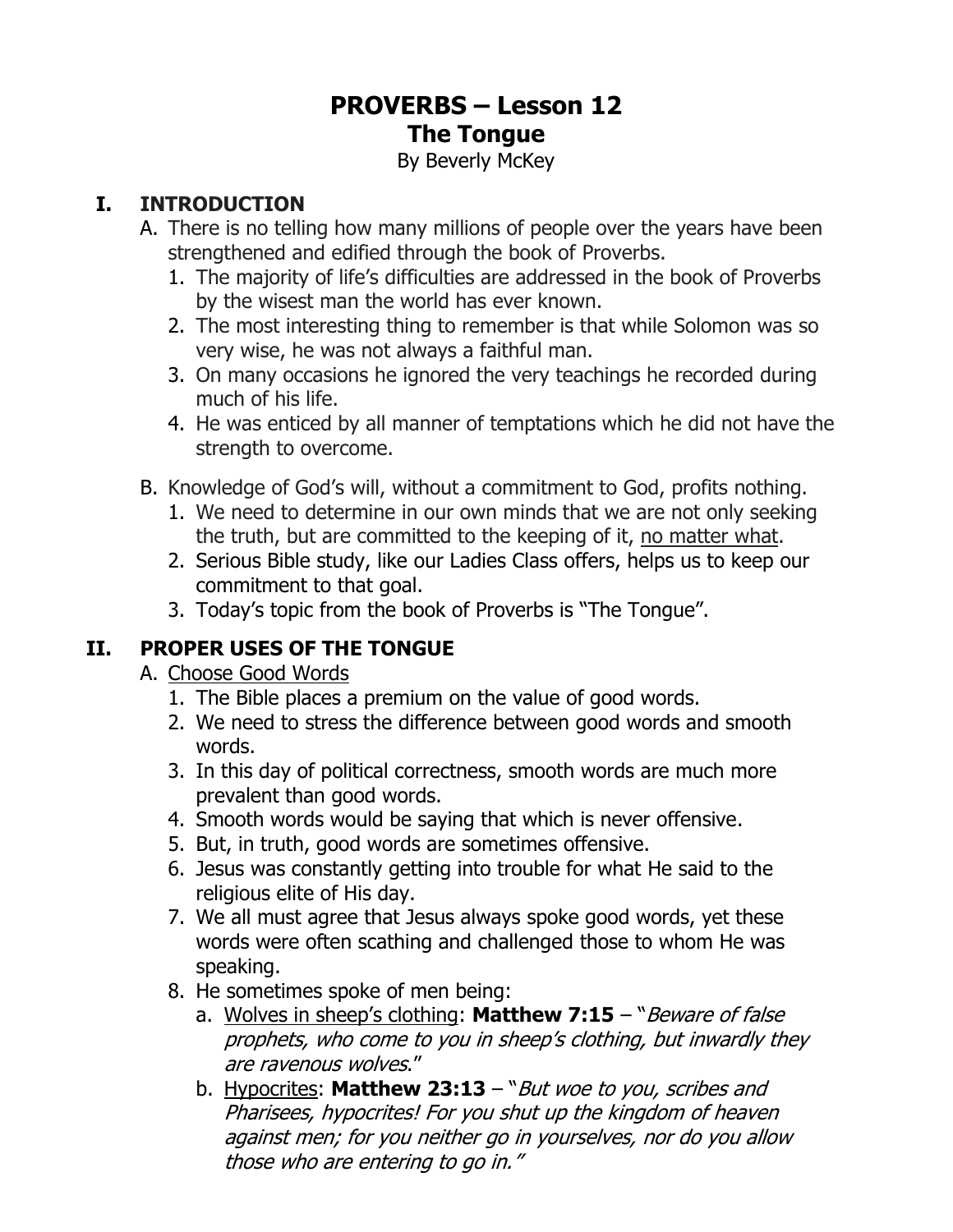# **PROVERBS – Lesson 12 The Tongue**

By Beverly McKey

### **I. INTRODUCTION**

- A. There is no telling how many millions of people over the years have been strengthened and edified through the book of Proverbs.
	- 1. The majority of life's difficulties are addressed in the book of Proverbs by the wisest man the world has ever known.
	- 2. The most interesting thing to remember is that while Solomon was so very wise, he was not always a faithful man.
	- 3. On many occasions he ignored the very teachings he recorded during much of his life.
	- 4. He was enticed by all manner of temptations which he did not have the strength to overcome.
- B. Knowledge of God's will, without a commitment to God, profits nothing.
	- 1. We need to determine in our own minds that we are not only seeking the truth, but are committed to the keeping of it, no matter what.
	- 2. Serious Bible study, like our Ladies Class offers, helps us to keep our commitment to that goal.
	- 3. Today's topic from the book of Proverbs is "The Tongue".

### **II. PROPER USES OF THE TONGUE**

- A. Choose Good Words
	- 1. The Bible places a premium on the value of good words.
	- 2. We need to stress the difference between good words and smooth words.
	- 3. In this day of political correctness, smooth words are much more prevalent than good words.
	- 4. Smooth words would be saying that which is never offensive.
	- 5. But, in truth, good words are sometimes offensive.
	- 6. Jesus was constantly getting into trouble for what He said to the religious elite of His day.
	- 7. We all must agree that Jesus always spoke good words, yet these words were often scathing and challenged those to whom He was speaking.
	- 8. He sometimes spoke of men being:
		- a. Wolves in sheep's clothing: **Matthew 7:15** "Beware of false prophets, who come to you in sheep's clothing, but inwardly they are ravenous wolves."
		- b. Hypocrites: **Matthew 23:13**  "But woe to you, scribes and Pharisees, hypocrites! For you shut up the kingdom of heaven against men; for you neither go in yourselves, nor do you allow those who are entering to go in."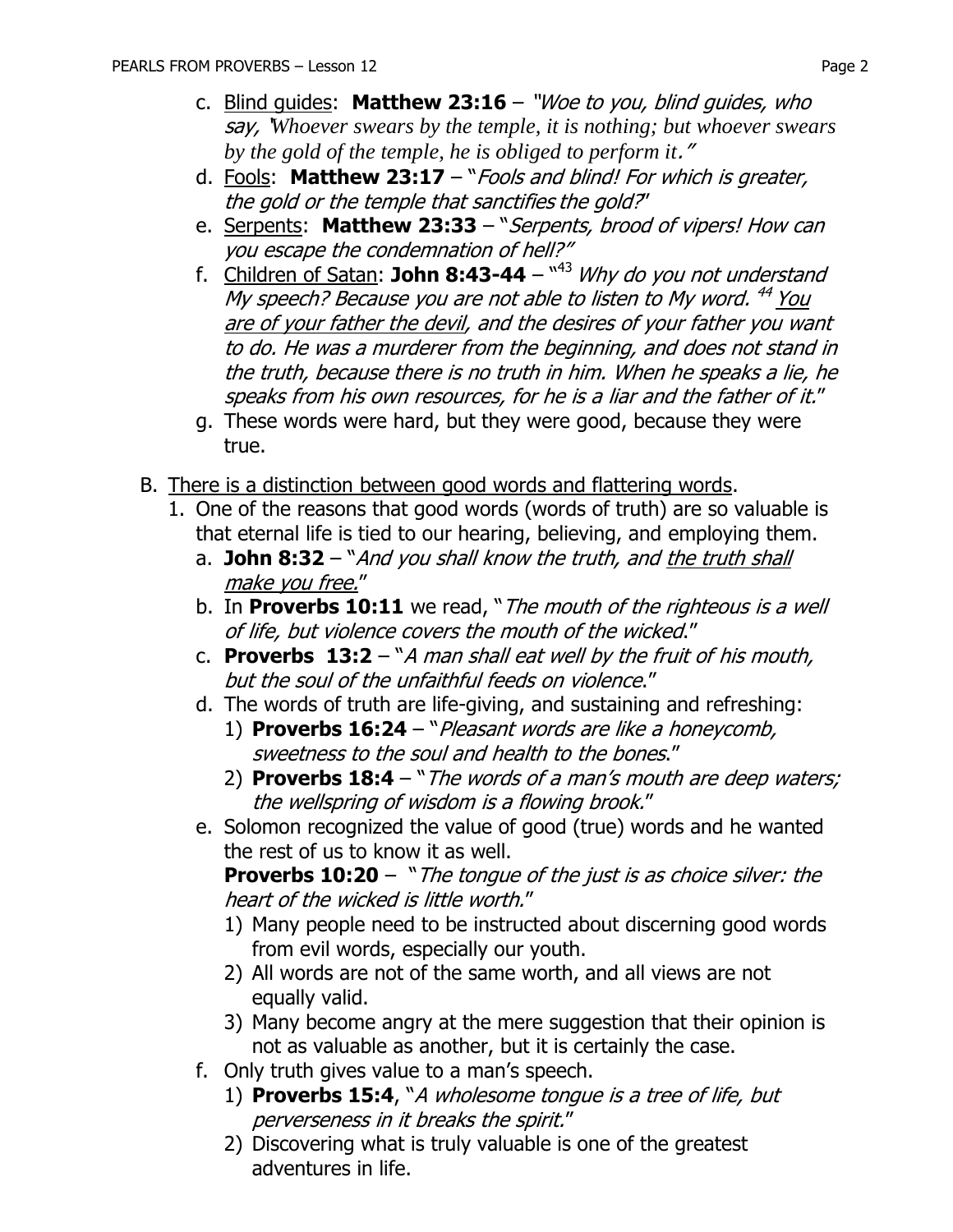- c. Blind guides: **Matthew 23:16** "Woe to you, blind guides, who say, '*Whoever swears by the temple, it is nothing; but whoever swears by the gold of the temple, he is obliged to perform it*."
- d. Fools: **Matthew 23:17** "Fools and blind! For which is greater, the gold or the temple that sanctifies the gold?"
- e. Serpents: **Matthew 23:33** "Serpents, brood of vipers! How can you escape the condemnation of hell?"
- f. Children of Satan: **John 8:43-44** " <sup>43</sup> Why do you not understand My speech? Because you are not able to listen to My word. <sup>44</sup> <u>You</u> are of your father the devil, and the desires of your father you want to do. He was a murderer from the beginning, and does not stand in the truth, because there is no truth in him. When he speaks a lie, he speaks from his own resources, for he is a liar and the father of it."
- g. These words were hard, but they were good, because they were true.
- B. There is a distinction between good words and flattering words.
	- 1. One of the reasons that good words (words of truth) are so valuable is that eternal life is tied to our hearing, believing, and employing them.
		- a. **John 8:32** "And you shall know the truth, and the truth shall make you free."
		- b. In **Proverbs 10:11** we read, "The mouth of the righteous is a well of life, but violence covers the mouth of the wicked."
		- c. **Proverbs 13:2** "A man shall eat well by the fruit of his mouth, but the soul of the unfaithful feeds on violence."
		- d. The words of truth are life-giving, and sustaining and refreshing:
			- 1) **Proverbs 16:24**  "Pleasant words are like a honeycomb, sweetness to the soul and health to the bones."
			- 2) **Proverbs 18:4**  "The words of a man's mouth are deep waters; the wellspring of wisdom is a flowing brook."
		- e. Solomon recognized the value of good (true) words and he wanted the rest of us to know it as well.

**Proverbs 10:20** – "The tongue of the just is as choice silver: the heart of the wicked is little worth."

- 1) Many people need to be instructed about discerning good words from evil words, especially our youth.
- 2) All words are not of the same worth, and all views are not equally valid.
- 3) Many become angry at the mere suggestion that their opinion is not as valuable as another, but it is certainly the case.
- f. Only truth gives value to a man's speech.
	- 1) **Proverbs 15:4**, "A wholesome tongue is a tree of life, but perverseness in it breaks the spirit."
	- 2) Discovering what is truly valuable is one of the greatest adventures in life.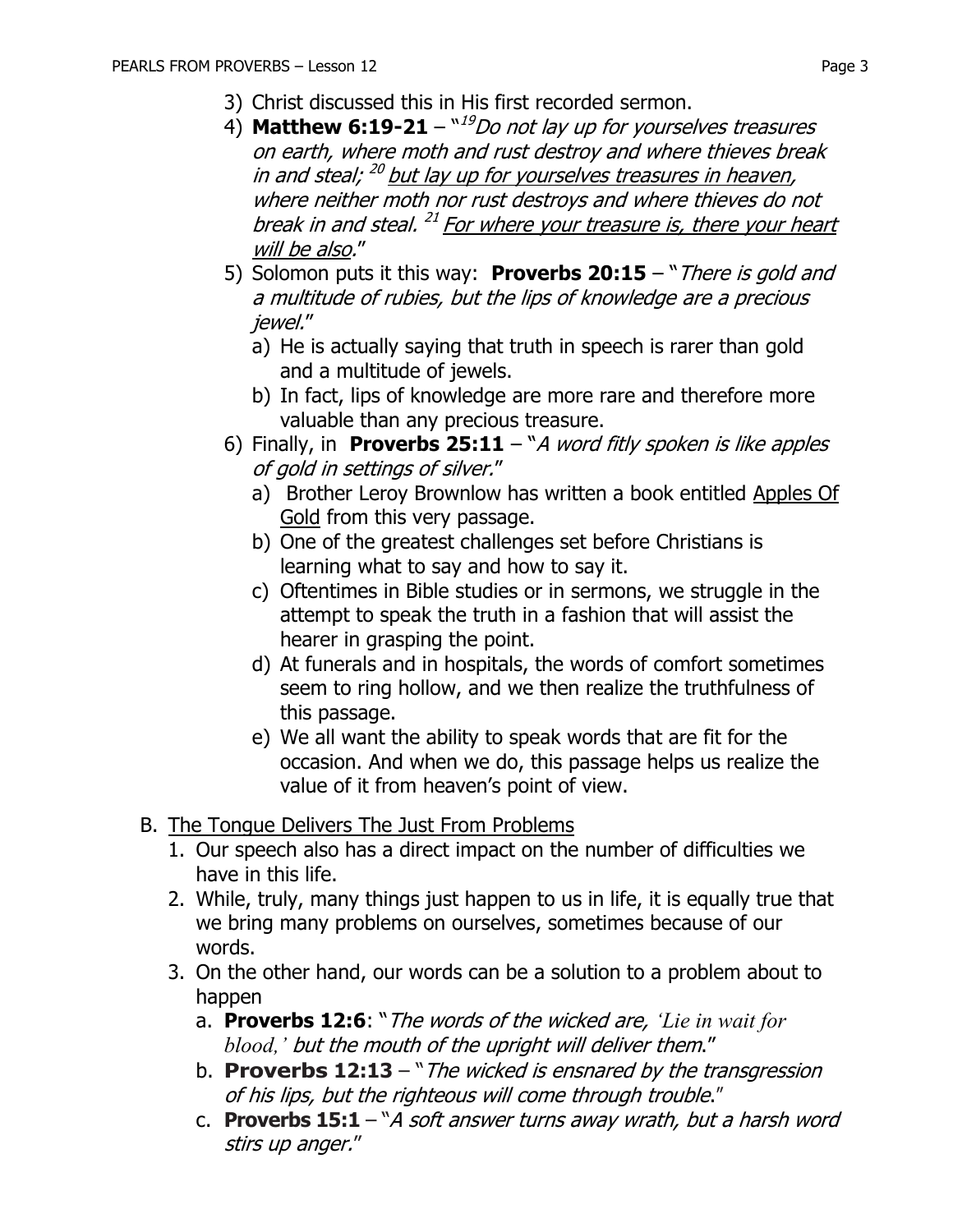- 3) Christ discussed this in His first recorded sermon.
- 4) **Matthew 6:19-21**  $^{\text{N19}}$ Do not lay up for yourselves treasures on earth, where moth and rust destroy and where thieves break in and steal; <sup>20</sup> <u>but lay up for yourselves treasures in heaven</u>, where neither moth nor rust destroys and where thieves do not break in and steal. <sup>21</sup> For where your treasure is, there your heart will be also."
- 5) Solomon puts it this way: **Proverbs 20:15**  "There is gold and a multitude of rubies, but the lips of knowledge are a precious jewel."
	- a) He is actually saying that truth in speech is rarer than gold and a multitude of jewels.
	- b) In fact, lips of knowledge are more rare and therefore more valuable than any precious treasure.
- 6) Finally, in **Proverbs 25:11** "A word fitly spoken is like apples of gold in settings of silver."
	- a) Brother Leroy Brownlow has written a book entitled Apples Of Gold from this very passage.
	- b) One of the greatest challenges set before Christians is learning what to say and how to say it.
	- c) Oftentimes in Bible studies or in sermons, we struggle in the attempt to speak the truth in a fashion that will assist the hearer in grasping the point.
	- d) At funerals and in hospitals, the words of comfort sometimes seem to ring hollow, and we then realize the truthfulness of this passage.
	- e) We all want the ability to speak words that are fit for the occasion. And when we do, this passage helps us realize the value of it from heaven's point of view.
- B. The Tongue Delivers The Just From Problems
	- 1. Our speech also has a direct impact on the number of difficulties we have in this life.
	- 2. While, truly, many things just happen to us in life, it is equally true that we bring many problems on ourselves, sometimes because of our words.
	- 3. On the other hand, our words can be a solution to a problem about to happen
		- a. **Proverbs 12:6**: "The words of the wicked are, *'Lie in wait for blood,'* but the mouth of the upright will deliver them."
		- b. **Proverbs 12:13** "The wicked is ensnared by the transgression of his lips, but the righteous will come through trouble."
		- c. **Proverbs 15:1**  "A soft answer turns away wrath, but a harsh word stirs up anger."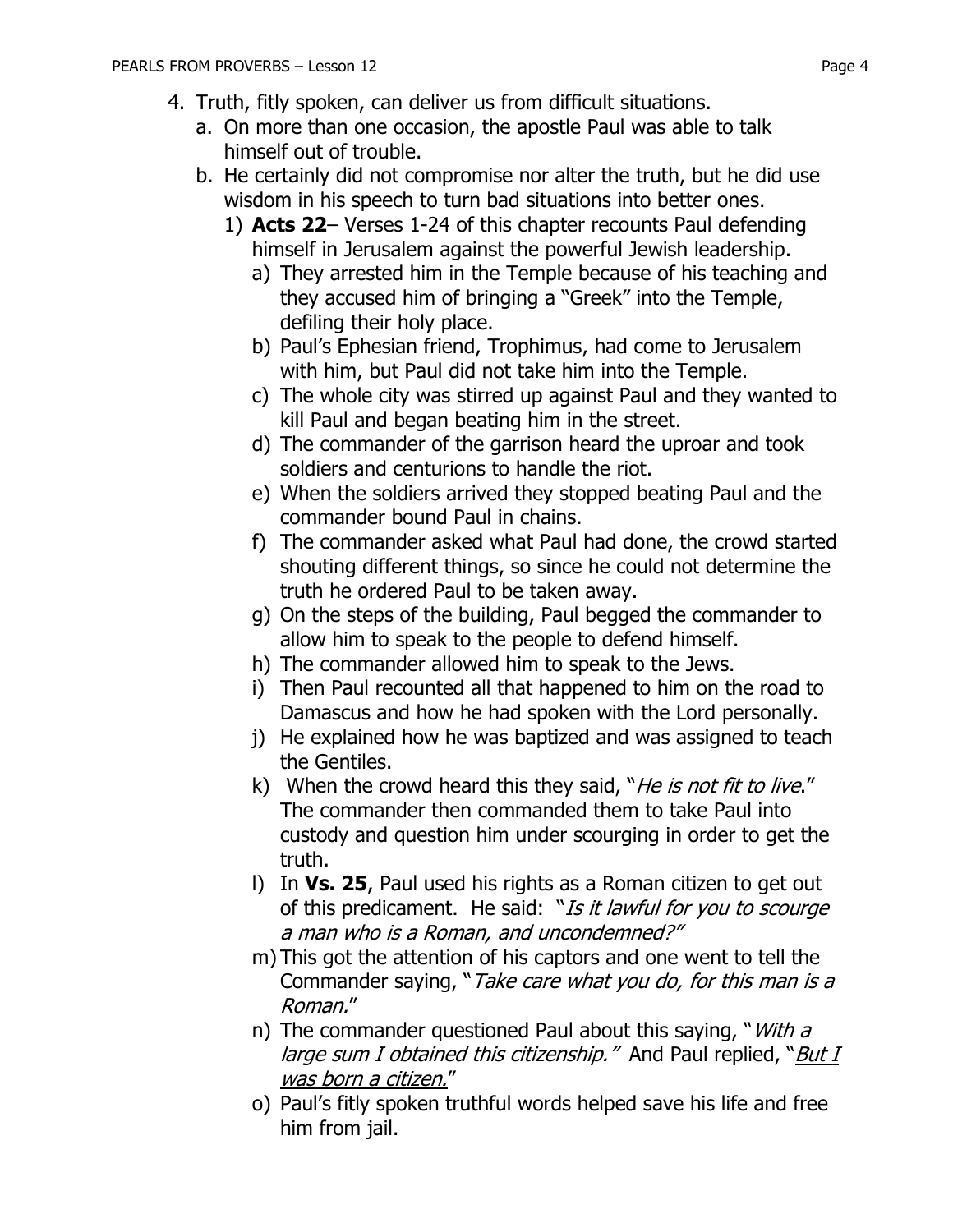- 4. Truth, fitly spoken, can deliver us from difficult situations.
	- a. On more than one occasion, the apostle Paul was able to talk himself out of trouble.
	- b. He certainly did not compromise nor alter the truth, but he did use wisdom in his speech to turn bad situations into better ones.
		- 1) **Acts 22** Verses 1-24 of this chapter recounts Paul defending himself in Jerusalem against the powerful Jewish leadership.
			- a) They arrested him in the Temple because of his teaching and they accused him of bringing a "Greek" into the Temple, defiling their holy place.
			- b) Paul's Ephesian friend, Trophimus, had come to Jerusalem with him, but Paul did not take him into the Temple.
			- c) The whole city was stirred up against Paul and they wanted to kill Paul and began beating him in the street.
			- d) The commander of the garrison heard the uproar and took soldiers and centurions to handle the riot.
			- e) When the soldiers arrived they stopped beating Paul and the commander bound Paul in chains.
			- f) The commander asked what Paul had done, the crowd started shouting different things, so since he could not determine the truth he ordered Paul to be taken away.
			- g) On the steps of the building, Paul begged the commander to allow him to speak to the people to defend himself.
			- h) The commander allowed him to speak to the Jews.
			- i) Then Paul recounted all that happened to him on the road to Damascus and how he had spoken with the Lord personally.
			- j) He explained how he was baptized and was assigned to teach the Gentiles.
			- k) When the crowd heard this they said, "*He is not fit to live."* The commander then commanded them to take Paul into custody and question him under scourging in order to get the truth.
			- l) In **Vs. 25**, Paul used his rights as a Roman citizen to get out of this predicament. He said: "Is it lawful for you to scourge a man who is a Roman, and uncondemned?"
			- m) This got the attention of his captors and one went to tell the Commander saying, "Take care what you do, for this man is a Roman."
			- n) The commander questioned Paul about this saying, "*With a* large sum I obtained this citizenship." And Paul replied, "But I was born a citizen."
			- o) Paul's fitly spoken truthful words helped save his life and free him from jail.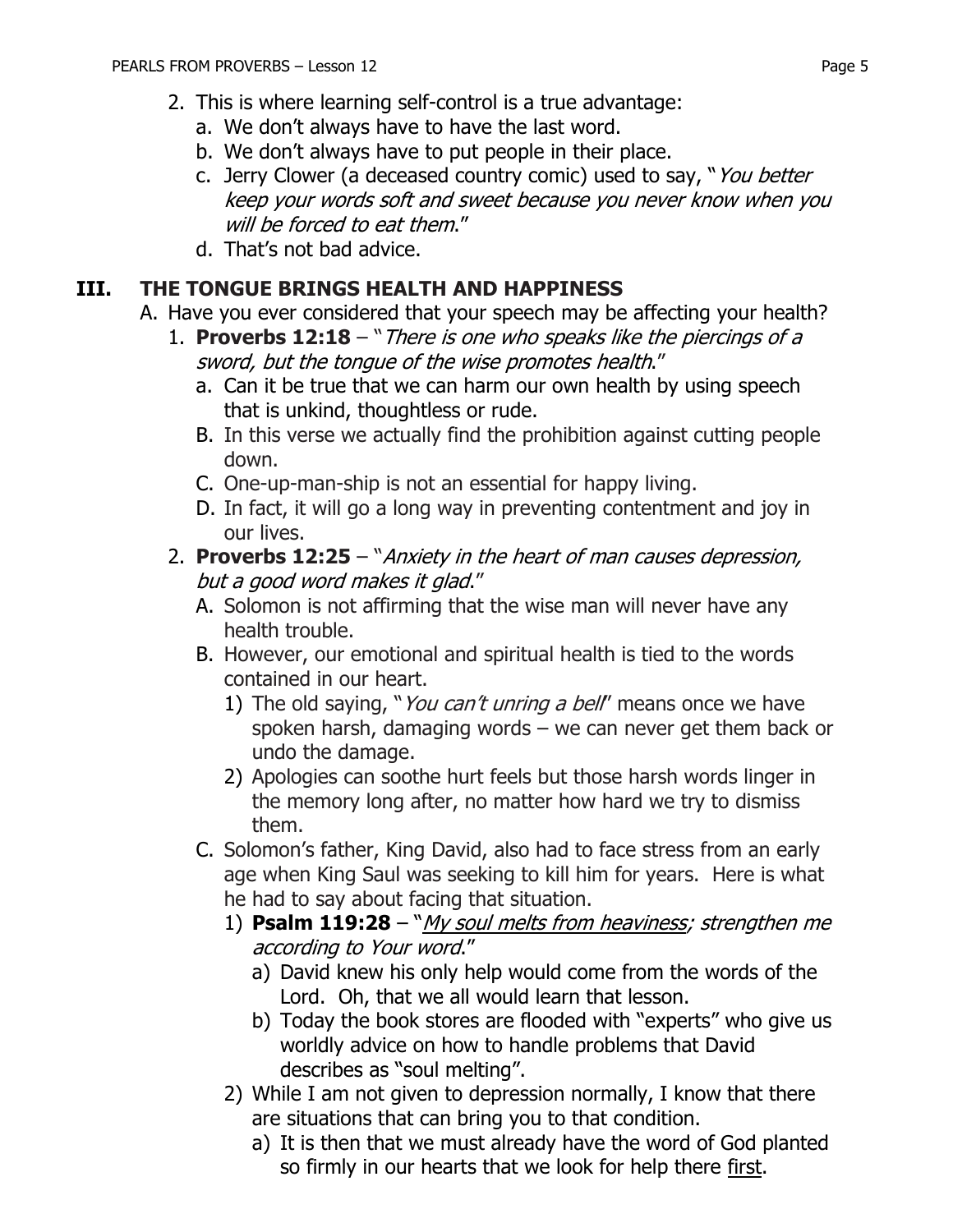- a. We don't always have to have the last word.
- b. We don't always have to put people in their place.
- c. Jerry Clower (a deceased country comic) used to say, "You better keep your words soft and sweet because you never know when you will be forced to eat them."
- d. That's not bad advice.

### **III. THE TONGUE BRINGS HEALTH AND HAPPINESS**

- A. Have you ever considered that your speech may be affecting your health?
	- 1. **Proverbs 12:18** "There is one who speaks like the piercings of a sword, but the tongue of the wise promotes health."
		- a. Can it be true that we can harm our own health by using speech that is unkind, thoughtless or rude.
		- B. In this verse we actually find the prohibition against cutting people down.
		- C. One-up-man-ship is not an essential for happy living.
		- D. In fact, it will go a long way in preventing contentment and joy in our lives.

#### 2. **Proverbs 12:25** – "Anxiety in the heart of man causes depression, but a good word makes it glad."

- A. Solomon is not affirming that the wise man will never have any health trouble.
- B. However, our emotional and spiritual health is tied to the words contained in our heart.
	- 1) The old saying, "*You can't unring a bell*" means once we have spoken harsh, damaging words – we can never get them back or undo the damage.
	- 2) Apologies can soothe hurt feels but those harsh words linger in the memory long after, no matter how hard we try to dismiss them.
- C. Solomon's father, King David, also had to face stress from an early age when King Saul was seeking to kill him for years. Here is what he had to say about facing that situation.
	- 1) **Psalm 119:28**  "My soul melts from heaviness; strengthen me according to Your word."
		- a) David knew his only help would come from the words of the Lord. Oh, that we all would learn that lesson.
		- b) Today the book stores are flooded with "experts" who give us worldly advice on how to handle problems that David describes as "soul melting".
	- 2) While I am not given to depression normally, I know that there are situations that can bring you to that condition.
		- a) It is then that we must already have the word of God planted so firmly in our hearts that we look for help there first.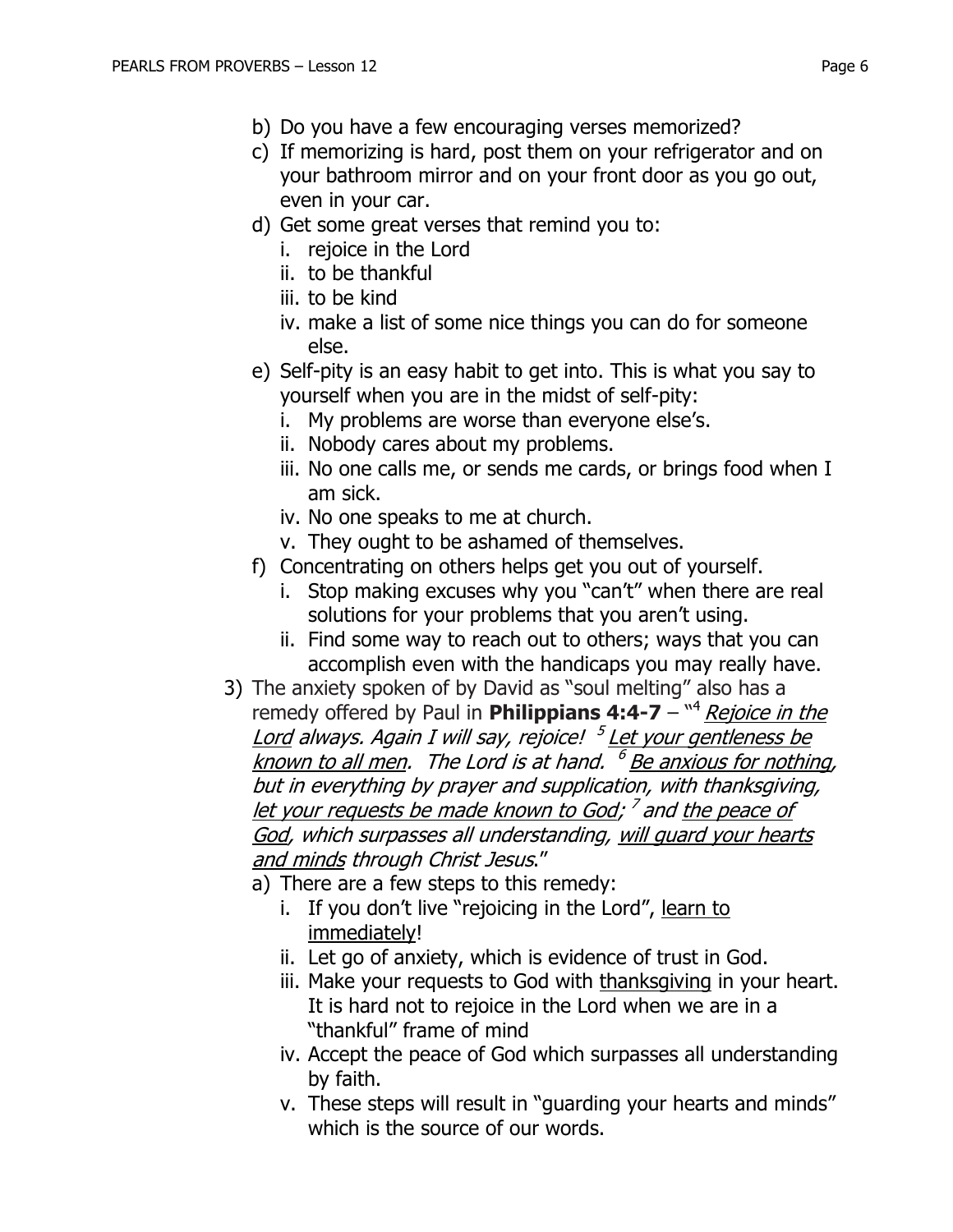- b) Do you have a few encouraging verses memorized?
- c) If memorizing is hard, post them on your refrigerator and on your bathroom mirror and on your front door as you go out, even in your car.
- d) Get some great verses that remind you to:
	- i. rejoice in the Lord
	- ii. to be thankful
	- iii. to be kind
	- iv. make a list of some nice things you can do for someone else.
- e) Self-pity is an easy habit to get into. This is what you say to yourself when you are in the midst of self-pity:
	- i. My problems are worse than everyone else's.
	- ii. Nobody cares about my problems.
	- iii. No one calls me, or sends me cards, or brings food when I am sick.
	- iv. No one speaks to me at church.
	- v. They ought to be ashamed of themselves.
- f) Concentrating on others helps get you out of yourself.
	- i. Stop making excuses why you "can't" when there are real solutions for your problems that you aren't using.
	- ii. Find some way to reach out to others; ways that you can accomplish even with the handicaps you may really have.
- 3) The anxiety spoken of by David as "soul melting" also has a remedy offered by Paul in Philippians 4:4-7 - <sup>"4</sup> Rejoice in the Lord always. Again I will say, rejoice! 5 Let your gentleness be known to all men. The Lord is at hand. <sup>6</sup> <u>Be anxious for nothing</u>, but in everything by prayer and supplication, with thanksgiving, let your requests be made known to God; <sup>7</sup> and <u>the peace of</u> God, which surpasses all understanding, will guard your hearts and minds through Christ Jesus."
	- a) There are a few steps to this remedy:
		- i. If you don't live "rejoicing in the Lord", learn to immediately!
		- ii. Let go of anxiety, which is evidence of trust in God.
		- iii. Make your requests to God with thanksgiving in your heart. It is hard not to rejoice in the Lord when we are in a "thankful" frame of mind
		- iv. Accept the peace of God which surpasses all understanding by faith.
		- v. These steps will result in "guarding your hearts and minds" which is the source of our words.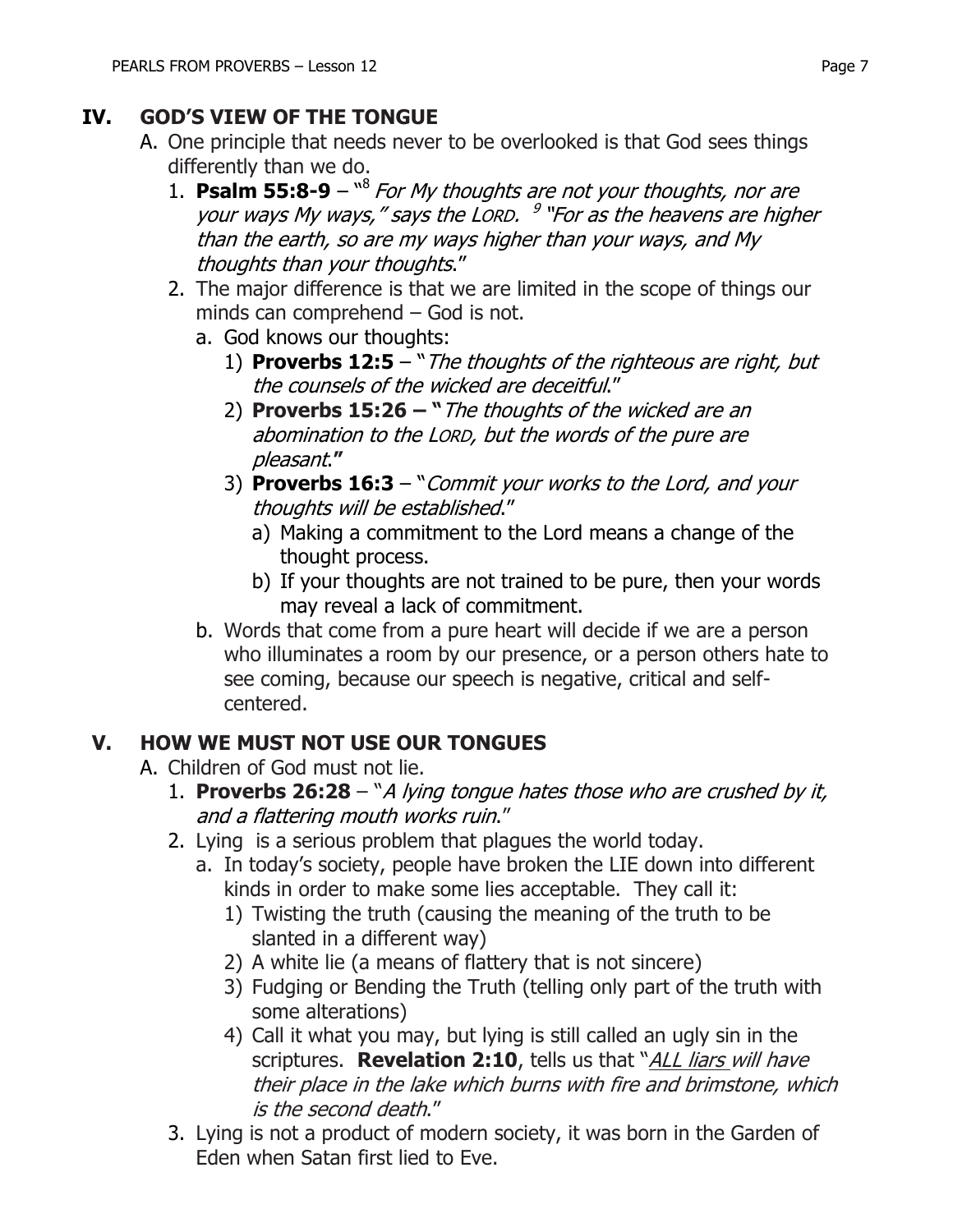## **IV. GOD'S VIEW OF THE TONGUE**

- A. One principle that needs never to be overlooked is that God sees things differently than we do.
	- 1. **Psalm 55:8-9** <sup>18</sup> For My thoughts are not your thoughts, nor are your ways My ways," says the LORD. <sup>9</sup> "For as the heavens are higher than the earth, so are my ways higher than your ways, and My thoughts than your thoughts."
	- 2. The major difference is that we are limited in the scope of things our minds can comprehend – God is not.
		- a. God knows our thoughts:
			- 1) **Proverbs 12:5**  "The thoughts of the righteous are right, but the counsels of the wicked are deceitful."
			- 2) **Proverbs 15:26 – "**The thoughts of the wicked are an abomination to the LORD, but the words of the pure are pleasant.**"**
			- 3) **Proverbs 16:3**  "Commit your works to the Lord, and your thoughts will be established."
				- a) Making a commitment to the Lord means a change of the thought process.
				- b) If your thoughts are not trained to be pure, then your words may reveal a lack of commitment.
		- b. Words that come from a pure heart will decide if we are a person who illuminates a room by our presence, or a person others hate to see coming, because our speech is negative, critical and selfcentered.

## **V. HOW WE MUST NOT USE OUR TONGUES**

- A. Children of God must not lie.
	- 1. **Proverbs 26:28**  "A lying tongue hates those who are crushed by it, and a flattering mouth works ruin."
	- 2. Lying is a serious problem that plagues the world today.
		- a. In today's society, people have broken the LIE down into different kinds in order to make some lies acceptable. They call it:
			- 1) Twisting the truth (causing the meaning of the truth to be slanted in a different way)
			- 2) A white lie (a means of flattery that is not sincere)
			- 3) Fudging or Bending the Truth (telling only part of the truth with some alterations)
			- 4) Call it what you may, but lying is still called an ugly sin in the scriptures. **Revelation 2:10**, tells us that "ALL liars will have their place in the lake which burns with fire and brimstone, which is the second death."
	- 3. Lying is not a product of modern society, it was born in the Garden of Eden when Satan first lied to Eve.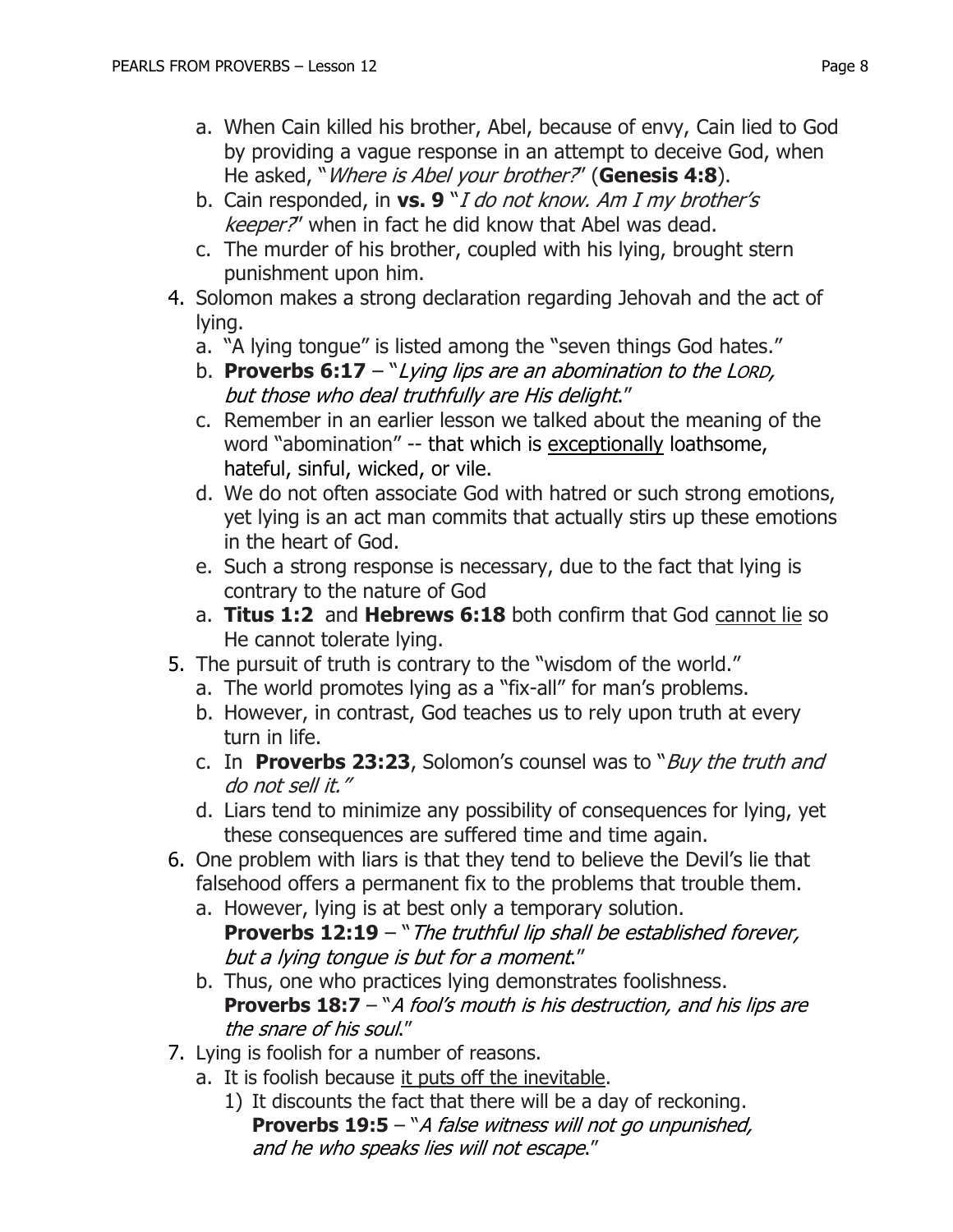- a. When Cain killed his brother, Abel, because of envy, Cain lied to God by providing a vague response in an attempt to deceive God, when He asked, "Where is Abel your brother?" (**Genesis 4:8**).
- b. Cain responded, in **vs. 9** "I do not know. Am I my brother's keeper?" when in fact he did know that Abel was dead.
- c. The murder of his brother, coupled with his lying, brought stern punishment upon him.
- 4. Solomon makes a strong declaration regarding Jehovah and the act of lying.
	- a. "A lying tongue" is listed among the "seven things God hates."
	- b. **Proverbs 6:17** "Lying lips are an abomination to the LORD, but those who deal truthfully are His delight."
	- c. Remember in an earlier lesson we talked about the meaning of the word "abomination" -- that which is exceptionally loathsome, [hateful,](https://en.wikipedia.org/wiki/Hate) [sinful,](https://en.wikipedia.org/wiki/Sin) [wicked,](https://en.wikipedia.org/wiki/Evil) or vile.
	- d. We do not often associate God with hatred or such strong emotions, yet lying is an act man commits that actually stirs up these emotions in the heart of God.
	- e. Such a strong response is necessary, due to the fact that lying is contrary to the nature of God
	- a. **Titus 1:2** and **Hebrews 6:18** both confirm that God cannot lie so He cannot tolerate lying.
- 5. The pursuit of truth is contrary to the "wisdom of the world."
	- a. The world promotes lying as a "fix-all" for man's problems.
	- b. However, in contrast, God teaches us to rely upon truth at every turn in life.
	- c. In **Proverbs 23:23**, Solomon's counsel was to "Buy the truth and do not sell it."
	- d. Liars tend to minimize any possibility of consequences for lying, yet these consequences are suffered time and time again.
- 6. One problem with liars is that they tend to believe the Devil's lie that falsehood offers a permanent fix to the problems that trouble them.
	- a. However, lying is at best only a temporary solution. **Proverbs 12:19** – "The truthful lip shall be established forever, but a lying tongue is but for a moment."
	- b. Thus, one who practices lying demonstrates foolishness. **Proverbs 18:7** – "A fool's mouth is his destruction, and his lips are the snare of his soul."
- 7. Lying is foolish for a number of reasons.
	- a. It is foolish because it puts off the inevitable.
		- 1) It discounts the fact that there will be a day of reckoning. **Proverbs 19:5** – "A false witness will not go unpunished, and he who speaks lies will not escape."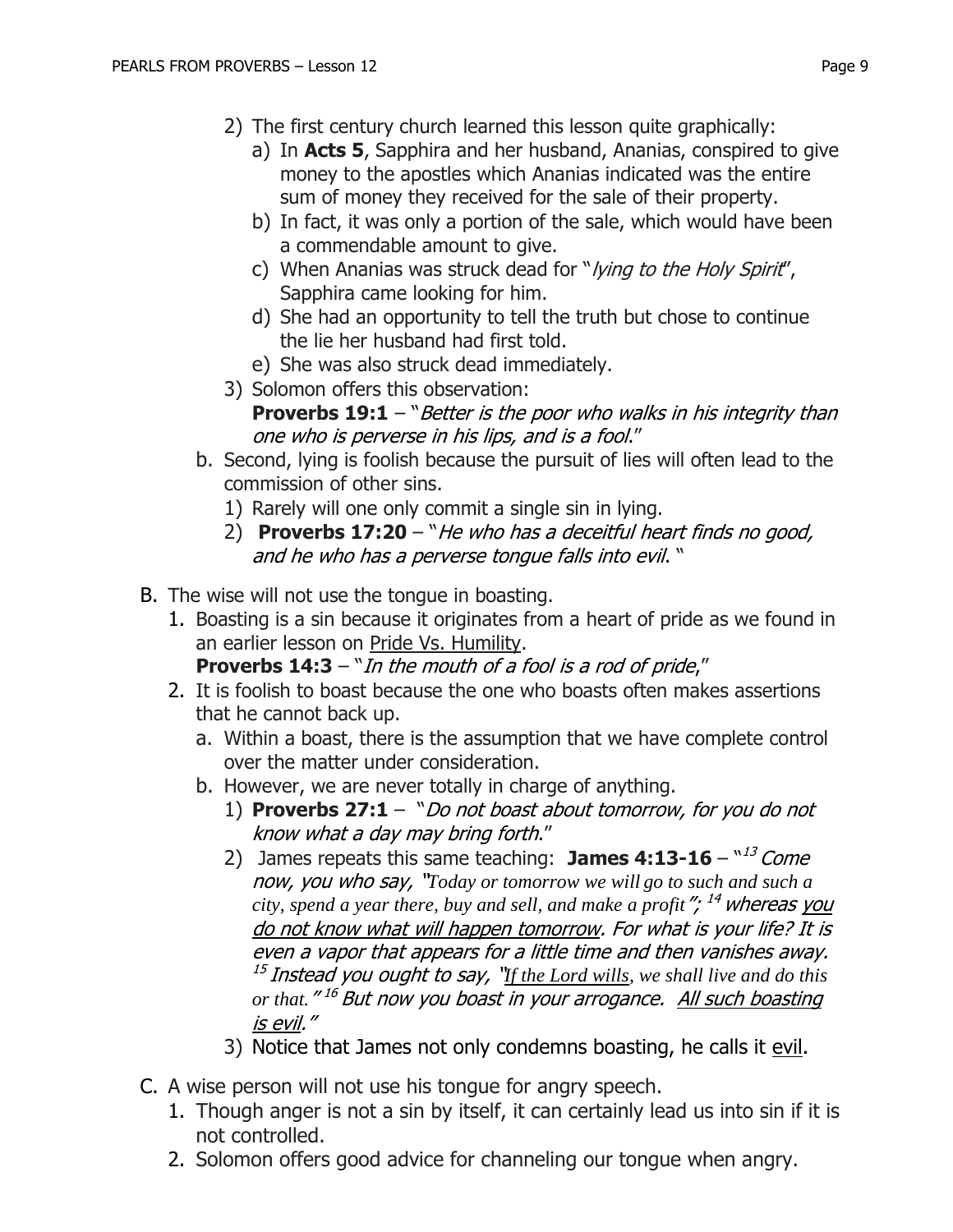- 2) The first century church learned this lesson quite graphically:
	- a) In **Acts 5**, Sapphira and her husband, Ananias, conspired to give money to the apostles which Ananias indicated was the entire sum of money they received for the sale of their property.
	- b) In fact, it was only a portion of the sale, which would have been a commendable amount to give.
	- c) When Ananias was struck dead for "lying to the Holy Spirit", Sapphira came looking for him.
	- d) She had an opportunity to tell the truth but chose to continue the lie her husband had first told.
	- e) She was also struck dead immediately.
- 3) Solomon offers this observation:
	- **Proverbs 19:1** "Better is the poor who walks in his integrity than one who is perverse in his lips, and is a fool."
- b. Second, lying is foolish because the pursuit of lies will often lead to the commission of other sins.
	- 1) Rarely will one only commit a single sin in lying.
	- 2) **Proverbs 17:20**  "He who has a deceitful heart finds no good, and he who has a perverse tongue falls into evil. "
- B. The wise will not use the tongue in boasting.
	- 1. Boasting is a sin because it originates from a heart of pride as we found in an earlier lesson on Pride Vs. Humility.

**Proverbs 14:3** – "In the mouth of a fool is a rod of pride,"

- 2. It is foolish to boast because the one who boasts often makes assertions that he cannot back up.
	- a. Within a boast, there is the assumption that we have complete control over the matter under consideration.
	- b. However, we are never totally in charge of anything.
		- 1) **Proverbs 27:1**  "Do not boast about tomorrow, for you do not know what a day may bring forth."
		- 2) James repeats this same teaching: **James 4:13-16** "<sup>13</sup> Come now, you who say, "*Today or tomorrow we will go to such and such a*  city, spend a year there, buy and sell, and make a profit<sup>"</sup>; <sup>14</sup> whereas <u>you</u> do not know what will happen tomorrow. For what is your life? It is even a vapor that appears for a little time and then vanishes away. 15 Instead you ought to say, "*If the Lord wills, we shall live and do this or that.*" <sup>16</sup> But now you boast in your arrogance. All such boasting is evil."
		- 3) Notice that James not only condemns boasting, he calls it evil.
- C. A wise person will not use his tongue for angry speech.
	- 1. Though anger is not a sin by itself, it can certainly lead us into sin if it is not controlled.
	- 2. Solomon offers good advice for channeling our tongue when angry.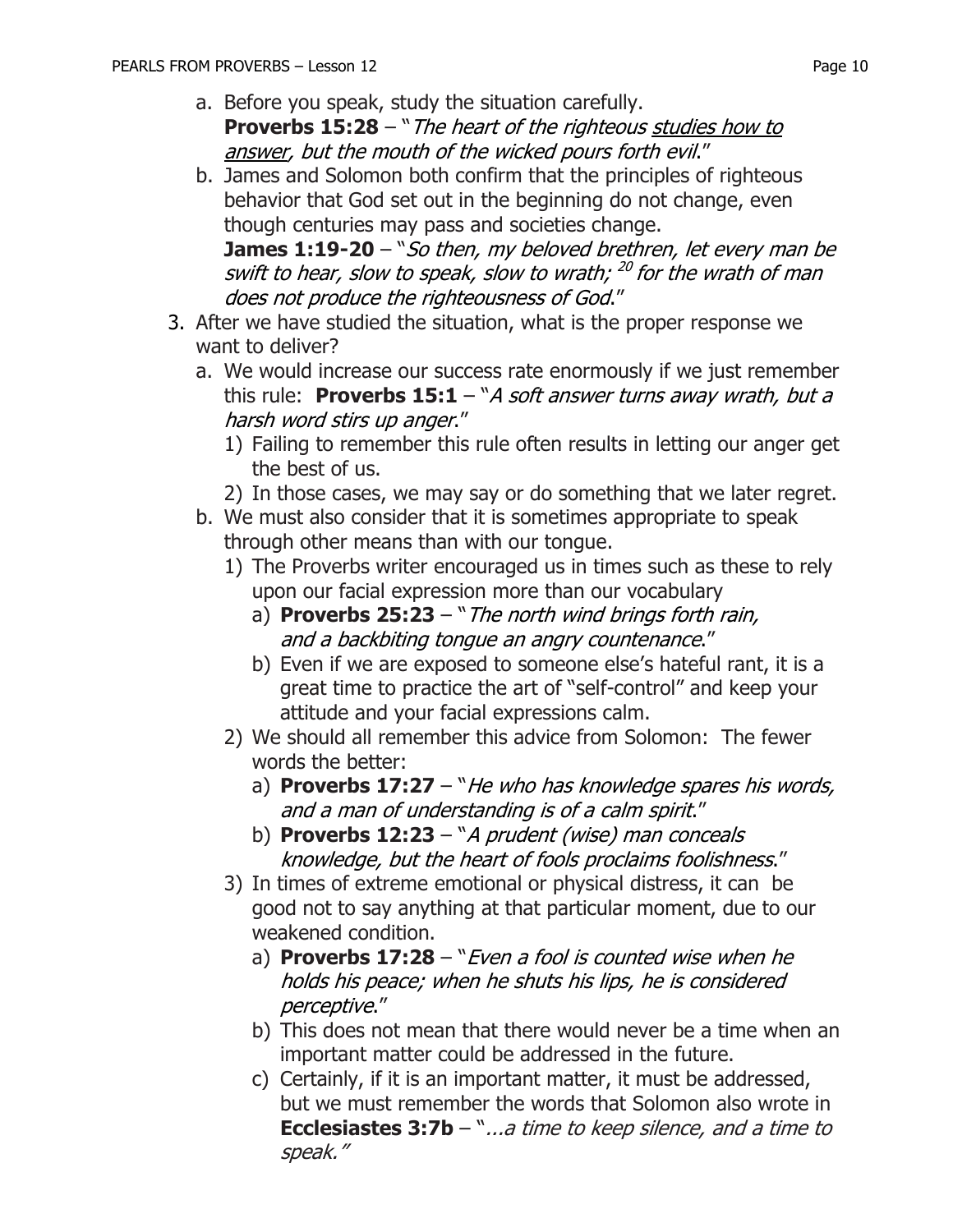a. Before you speak, study the situation carefully. **Proverbs 15:28** – "The heart of the righteous studies how to

answer, but the mouth of the wicked pours forth evil."

b. James and Solomon both confirm that the principles of righteous behavior that God set out in the beginning do not change, even though centuries may pass and societies change.

**James 1:19-20** – "So then, my beloved brethren, let every man be swift to hear, slow to speak, slow to wrath; <sup>20</sup> for the wrath of man does not produce the righteousness of God."

- 3. After we have studied the situation, what is the proper response we want to deliver?
	- a. We would increase our success rate enormously if we just remember this rule: **Proverbs 15:1** – "A soft answer turns away wrath, but a harsh word stirs up anger."
		- 1) Failing to remember this rule often results in letting our anger get the best of us.
		- 2) In those cases, we may say or do something that we later regret.
	- b. We must also consider that it is sometimes appropriate to speak through other means than with our tongue.
		- 1) The Proverbs writer encouraged us in times such as these to rely upon our facial expression more than our vocabulary
			- a) **Proverbs 25:23**  "The north wind brings forth rain, and a backbiting tongue an angry countenance."
			- b) Even if we are exposed to someone else's hateful rant, it is a great time to practice the art of "self-control" and keep your attitude and your facial expressions calm.
		- 2) We should all remember this advice from Solomon: The fewer words the better:
			- a) **Proverbs 17:27** "He who has knowledge spares his words, and a man of understanding is of a calm spirit."
			- b) **Proverbs 12:23**  "A prudent (wise) man conceals knowledge, but the heart of fools proclaims foolishness."
		- 3) In times of extreme emotional or physical distress, it can be good not to say anything at that particular moment, due to our weakened condition.
			- a) **Proverbs 17:28**  "Even a fool is counted wise when he holds his peace; when he shuts his lips, he is considered perceptive."
			- b) This does not mean that there would never be a time when an important matter could be addressed in the future.
			- c) Certainly, if it is an important matter, it must be addressed, but we must remember the words that Solomon also wrote in **Ecclesiastes 3:7b** – "...a time to keep silence, and a time to speak."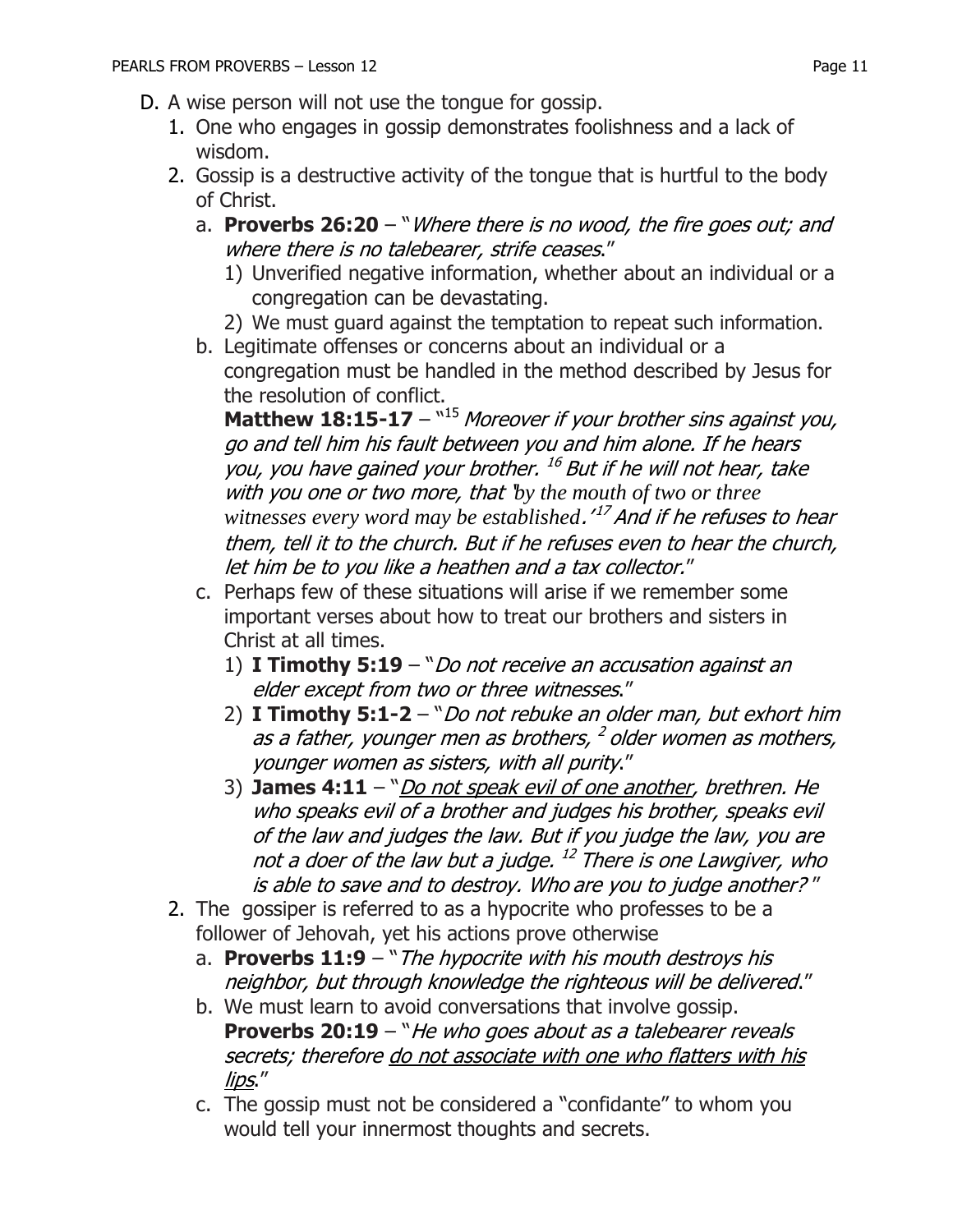- D. A wise person will not use the tongue for gossip.
	- 1. One who engages in gossip demonstrates foolishness and a lack of wisdom.
	- 2. Gossip is a destructive activity of the tongue that is hurtful to the body of Christ.
		- a. **Proverbs 26:20**  "Where there is no wood, the fire goes out; and where there is no talebearer, strife ceases."
			- 1) Unverified negative information, whether about an individual or a congregation can be devastating.
			- 2) We must guard against the temptation to repeat such information.
		- b. Legitimate offenses or concerns about an individual or a congregation must be handled in the method described by Jesus for the resolution of conflict.

**Matthew 18:15-17** – <sup>"15</sup> Moreover if your brother sins against you, go and tell him his fault between you and him alone. If he hears you, you have gained your brother. 16 But if he will not hear, take with you one or two more, that '*by the mouth of two or three witnesses every word may be established*.' 17 And if he refuses to hear them, tell it to the church. But if he refuses even to hear the church, let him be to you like a heathen and a tax collector."

- c. Perhaps few of these situations will arise if we remember some important verses about how to treat our brothers and sisters in Christ at all times.
	- 1) **I Timothy 5:19**  "Do not receive an accusation against an elder except from two or three witnesses."
	- 2) **I Timothy 5:1-2**  "Do not rebuke an older man, but exhort him as a father, younger men as brothers, <sup>2</sup> older women as mothers, younger women as sisters, with all purity."
	- 3) **James 4:11** "*Do not speak evil of one another, brethren. He* who speaks evil of a brother and judges his brother, speaks evil of the law and judges the law. But if you judge the law, you are not a doer of the law but a judge. <sup>12</sup> There is one Lawgiver, who is able to save and to destroy. Who are you to judge another? "
- 2. The gossiper is referred to as a hypocrite who professes to be a follower of Jehovah, yet his actions prove otherwise
	- a. **Proverbs 11:9** "*The hypocrite with his mouth destroys his* neighbor, but through knowledge the righteous will be delivered."
	- b. We must learn to avoid conversations that involve gossip. **Proverbs 20:19** – "He who goes about as a talebearer reveals secrets; therefore do not associate with one who flatters with his lips."
	- c. The gossip must not be considered a "confidante" to whom you would tell your innermost thoughts and secrets.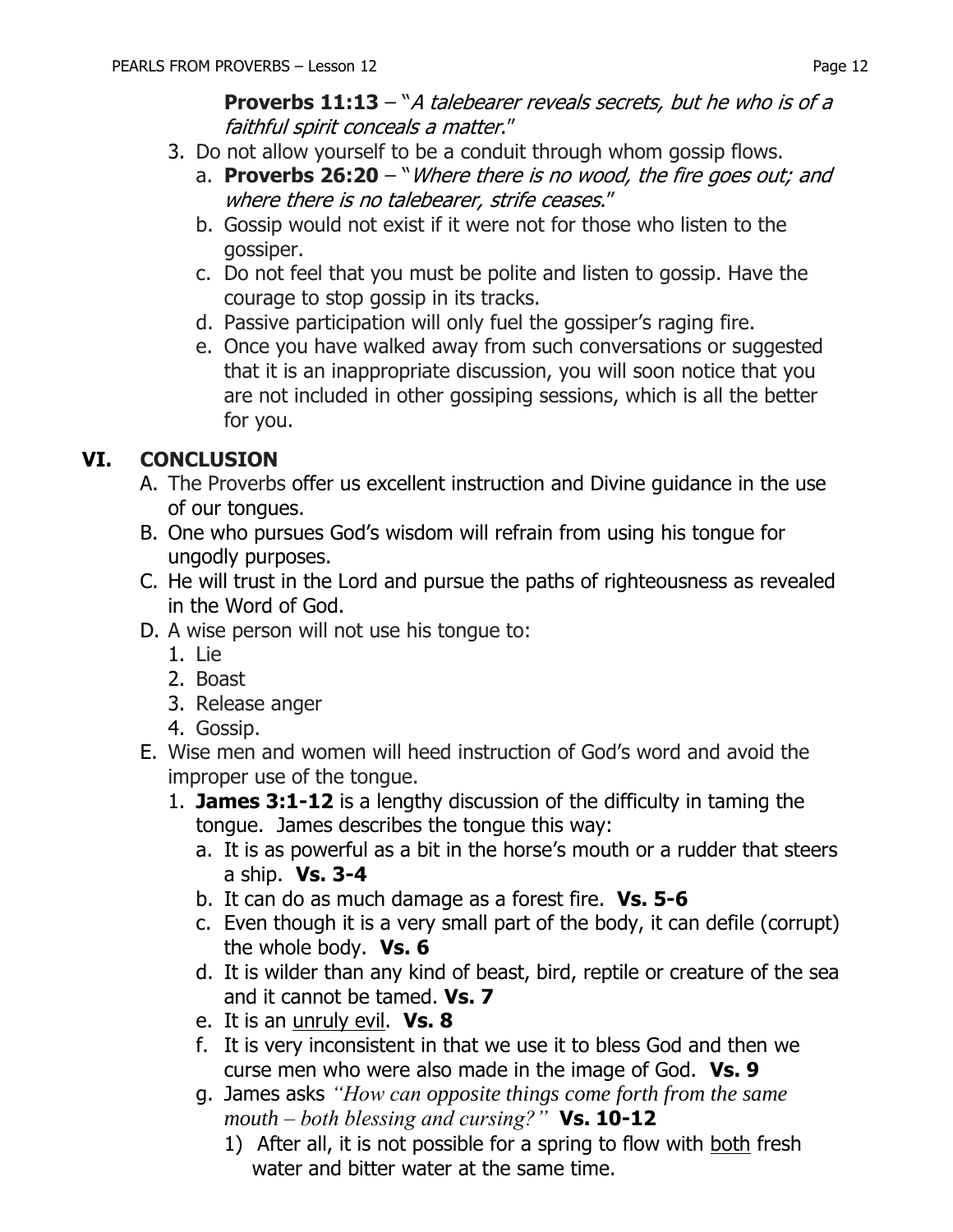**Proverbs 11:13** – "A talebearer reveals secrets, but he who is of a faithful spirit conceals a matter."

- 3. Do not allow yourself to be a conduit through whom gossip flows.
	- a. **Proverbs 26:20**  "Where there is no wood, the fire goes out; and where there is no talebearer, strife ceases."
	- b. Gossip would not exist if it were not for those who listen to the gossiper.
	- c. Do not feel that you must be polite and listen to gossip. Have the courage to stop gossip in its tracks.
	- d. Passive participation will only fuel the gossiper's raging fire.
	- e. Once you have walked away from such conversations or suggested that it is an inappropriate discussion, you will soon notice that you are not included in other gossiping sessions, which is all the better for you.

## **VI. CONCLUSION**

- A. The Proverbs offer us excellent instruction and Divine guidance in the use of our tongues.
- B. One who pursues God's wisdom will refrain from using his tongue for ungodly purposes.
- C. He will trust in the Lord and pursue the paths of righteousness as revealed in the Word of God.
- D. A wise person will not use his tongue to:
	- 1. Lie
	- 2. Boast
	- 3. Release anger
	- 4. Gossip.
- E. Wise men and women will heed instruction of God's word and avoid the improper use of the tongue.
	- 1. **James 3:1-12** is a lengthy discussion of the difficulty in taming the tongue. James describes the tongue this way:
		- a. It is as powerful as a bit in the horse's mouth or a rudder that steers a ship. **Vs. 3-4**
		- b. It can do as much damage as a forest fire. **Vs. 5-6**
		- c. Even though it is a very small part of the body, it can defile (corrupt) the whole body. **Vs. 6**
		- d. It is wilder than any kind of beast, bird, reptile or creature of the sea and it cannot be tamed. **Vs. 7**
		- e. It is an unruly evil. **Vs. 8**
		- f. It is very inconsistent in that we use it to bless God and then we curse men who were also made in the image of God. **Vs. 9**
		- g. James asks *"How can opposite things come forth from the same mouth – both blessing and cursing?"* **Vs. 10-12**
			- 1) After all, it is not possible for a spring to flow with both fresh water and bitter water at the same time.